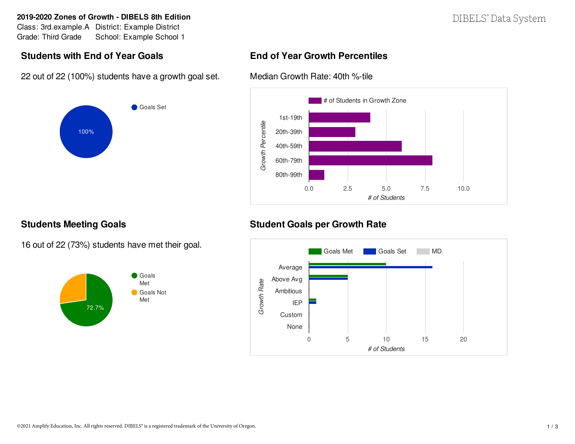#### **2019-2020 Zones of Growth - DIBELS 8th Edition**

Class: 3rd.example.A District: Example District Grade: Third Grade School: Example School 1

## **Students with End of Year Goals**

22 out of 22 (100%) students have a growth goal set.



# DIBELS<sup>®</sup> Data System

### **End of Year Growth Percentiles**

Median Growth Rate: 40th %-tile



### **Students Meeting Goals**

16 out of 22 (73%) students have met their goal.



## **Student Goals per Growth Rate**

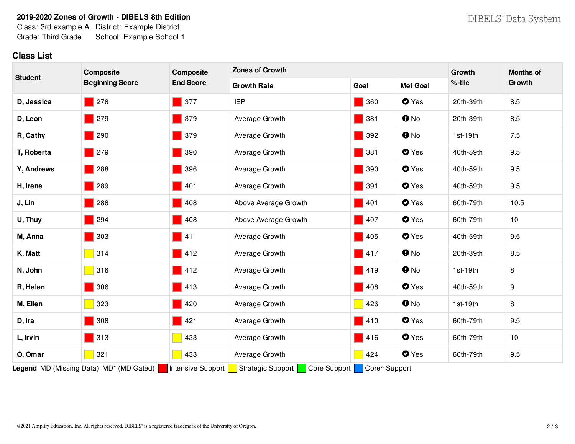#### **2019-2020 Zones of Growth - DIBELS 8th Edition**

Class: 3rd.example.A District: Example District Grade: Third Grade School: Example School 1

### **Class List**

| <b>Student</b>                                                                                                              | Composite<br><b>Beginning Score</b> | Composite<br><b>End Score</b>      | <b>Zones of Growth</b> |                    |                      | Growth     | <b>Months of</b> |  |  |
|-----------------------------------------------------------------------------------------------------------------------------|-------------------------------------|------------------------------------|------------------------|--------------------|----------------------|------------|------------------|--|--|
|                                                                                                                             |                                     |                                    | <b>Growth Rate</b>     | Goal               | <b>Met Goal</b>      | %-tile     | Growth           |  |  |
| D, Jessica                                                                                                                  | $\blacksquare$ 278                  | $\blacksquare$ 377                 | <b>IEP</b>             | $\blacksquare$ 360 | <b>O</b> Yes         | 20th-39th  | 8.5              |  |  |
| D, Leon                                                                                                                     | $\blacksquare$ 279                  | $\blacksquare$ 379                 | Average Growth         | $\blacksquare$ 381 | $\mathbf{\Theta}$ No | 20th-39th  | 8.5              |  |  |
| R, Cathy                                                                                                                    | 290                                 | $\blacksquare$ 379                 | Average Growth         | $\blacksquare$ 392 | $\mathbf{\Theta}$ No | $1st-19th$ | 7.5              |  |  |
| T, Roberta                                                                                                                  | 279                                 | 390                                | Average Growth         | $\blacksquare$ 381 | <b>O</b> Yes         | 40th-59th  | 9.5              |  |  |
| Y, Andrews                                                                                                                  | 288                                 | 396                                | Average Growth         | $\blacksquare$ 390 | <b>O</b> Yes         | 40th-59th  | 9.5              |  |  |
| H, Irene                                                                                                                    | 289                                 | 401                                | Average Growth         | $\blacksquare$ 391 | <b>O</b> Yes         | 40th-59th  | 9.5              |  |  |
| J, Lin                                                                                                                      | 288                                 | 408                                | Above Average Growth   | $\blacksquare$ 401 | <b>O</b> Yes         | 60th-79th  | 10.5             |  |  |
| U, Thuy                                                                                                                     | 294                                 | 408                                | Above Average Growth   | $\blacksquare$ 407 | <b>O</b> Yes         | 60th-79th  | 10               |  |  |
| M, Anna                                                                                                                     | $\blacksquare$ 303                  | $\vert$ 411                        | Average Growth         | $\blacksquare$ 405 | <b>O</b> Yes         | 40th-59th  | 9.5              |  |  |
| K, Matt                                                                                                                     | 314                                 | 412                                | Average Growth         | $\blacksquare$ 417 | $\mathbf{\Theta}$ No | 20th-39th  | 8.5              |  |  |
| N, John                                                                                                                     | 316                                 | 412                                | Average Growth         | $\blacksquare$ 419 | $\mathbf{\Theta}$ No | $1st-19th$ | 8                |  |  |
| R, Helen                                                                                                                    | 306                                 | 413                                | Average Growth         | $\blacksquare$ 408 | $\bullet$ Yes        | 40th-59th  | 9                |  |  |
| M, Ellen                                                                                                                    | 323                                 | 420                                | Average Growth         | $\blacksquare$ 426 | $\mathbf{0}$ No      | $1st-19th$ | 8                |  |  |
| D, Ira                                                                                                                      | 308                                 | $\blacksquare$ 421                 | Average Growth         | $\blacksquare$ 410 | <b>O</b> Yes         | 60th-79th  | 9.5              |  |  |
| L, Irvin                                                                                                                    | $\blacksquare$ 313                  | 433<br>×.                          | Average Growth         | $\blacksquare$ 416 | <b>O</b> Yes         | 60th-79th  | 10               |  |  |
| O, Omar                                                                                                                     | 321                                 | 433<br>$\mathcal{L}_{\mathcal{A}}$ | Average Growth         | $\vert$ 424        | <b>O</b> Yes         | 60th-79th  | 9.5              |  |  |
| Legend MD (Missing Data) MD <sup>*</sup> (MD Gated)<br>Core Support Core^ Support<br>Intensive Support<br>Strategic Support |                                     |                                    |                        |                    |                      |            |                  |  |  |